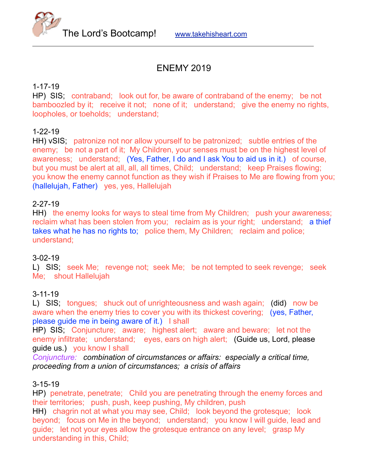

# ENEMY 2019

#### 1-17-19

HP) SIS; contraband; look out for, be aware of contraband of the enemy; be not bamboozled by it; receive it not; none of it; understand; give the enemy no rights, loopholes, or toeholds; understand;

#### 1-22-19

HH) vSIS; patronize not nor allow yourself to be patronized; subtle entries of the enemy; be not a part of it; My Children, your senses must be on the highest level of awareness; understand; (Yes, Father, I do and I ask You to aid us in it.) of course, but you must be alert at all, all, all times, Child; understand; keep Praises flowing; you know the enemy cannot function as they wish if Praises to Me are flowing from you; (hallelujah, Father) yes, yes, Hallelujah

#### 2-27-19

HH) the enemy looks for ways to steal time from My Children; push your awareness; reclaim what has been stolen from you; reclaim as is your right; understand; a thief takes what he has no rights to; police them, My Children; reclaim and police; understand;

#### 3-02-19

L) SIS; seek Me; revenge not; seek Me; be not tempted to seek revenge; seek Me; shout Hallelujah

#### 3-11-19

L) SIS; tongues; shuck out of unrighteousness and wash again; (did) now be aware when the enemy tries to cover you with its thickest covering; (yes, Father, please guide me in being aware of it.) I shall

HP) SIS; Conjuncture; aware; highest alert; aware and beware; let not the enemy infiltrate; understand; eyes, ears on high alert; (Guide us, Lord, please guide us.) you know I shall

*Conjuncture: combination of circumstances or affairs: especially a critical time, proceeding from a union of circumstances; a crisis of affairs* 

#### 3-15-19

HP) penetrate, penetrate; Child you are penetrating through the enemy forces and their territories; push, push, keep pushing, My children, push

HH) chagrin not at what you may see, Child; look beyond the grotesque; look beyond; focus on Me in the beyond; understand; you know I will guide, lead and guide; let not your eyes allow the grotesque entrance on any level; grasp My understanding in this, Child;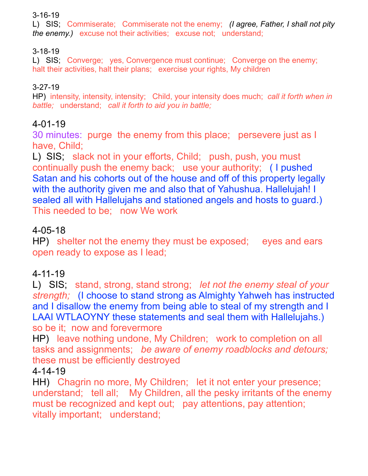## 3-16-19

L) SIS; Commiserate; Commiserate not the enemy; *(I agree, Father, I shall not pity the enemy.)* excuse not their activities; excuse not; understand;

## 3-18-19

L) SIS; Converge; yes, Convergence must continue; Converge on the enemy; halt their activities, halt their plans; exercise your rights, My children

## 3-27-19

HP) intensity, intensity, intensity; Child, your intensity does much; *call it forth when in battle;* understand; *call it forth to aid you in battle;* 

# 4-01-19

30 minutes: purge the enemy from this place; persevere just as I have, Child;

L) SIS; slack not in your efforts, Child; push, push, you must continually push the enemy back; use your authority; ( I pushed Satan and his cohorts out of the house and off of this property legally with the authority given me and also that of Yahushua. Hallelujah! I sealed all with Hallelujahs and stationed angels and hosts to guard.) This needed to be; now We work

# 4-05-18

HP) shelter not the enemy they must be exposed; eyes and ears open ready to expose as I lead;

# 4-11-19

L) SIS; stand, strong, stand strong; *let not the enemy steal of your strength;* (I choose to stand strong as Almighty Yahweh has instructed and I disallow the enemy from being able to steal of my strength and I LAAI WTLAOYNY these statements and seal them with Hallelujahs.) so be it; now and forevermore

HP) leave nothing undone, My Children; work to completion on all tasks and assignments; *be aware of enemy roadblocks and detours;*  these must be efficiently destroyed

## 4-14-19

HH) Chagrin no more, My Children; let it not enter your presence; understand; tell all; My Children, all the pesky irritants of the enemy must be recognized and kept out; pay attentions, pay attention; vitally important; understand;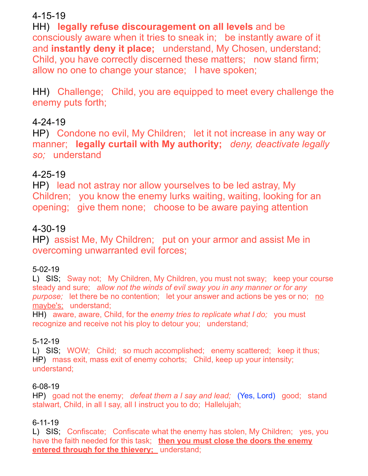# 4-15-19

HH) **legally refuse discouragement on all levels** and be consciously aware when it tries to sneak in; be instantly aware of it and **instantly deny it place;** understand, My Chosen, understand; Child, you have correctly discerned these matters; now stand firm; allow no one to change your stance; I have spoken;

HH) Challenge; Child, you are equipped to meet every challenge the enemy puts forth;

# 4-24-19

HP) Condone no evil, My Children; let it not increase in any way or manner; **legally curtail with My authority;** *deny, deactivate legally so;* understand

# 4-25-19

HP) lead not astray nor allow yourselves to be led astray, My Children; you know the enemy lurks waiting, waiting, looking for an opening; give them none; choose to be aware paying attention

## 4-30-19

HP) assist Me, My Children; put on your armor and assist Me in overcoming unwarranted evil forces;

## 5-02-19

L) SIS; Sway not; My Children, My Children, you must not sway; keep your course steady and sure; *allow not the winds of evil sway you in any manner or for any purpose;* let there be no contention; let your answer and actions be yes or no; no maybe's; understand;

HH) aware, aware, Child, for the *enemy tries to replicate what I do;* you must recognize and receive not his ploy to detour you; understand;

## 5-12-19

L) SIS; WOW; Child; so much accomplished; enemy scattered; keep it thus; HP) mass exit, mass exit of enemy cohorts; Child, keep up your intensity; understand;

## 6-08-19

HP) goad not the enemy; *defeat them a I say and lead;* (Yes, Lord) good; stand stalwart, Child, in all I say, all I instruct you to do; Hallelujah;

## 6-11-19

L) SIS; Confiscate; Confiscate what the enemy has stolen, My Children; yes, you have the faith needed for this task; **then you must close the doors the enemy entered through for the thievery;** understand;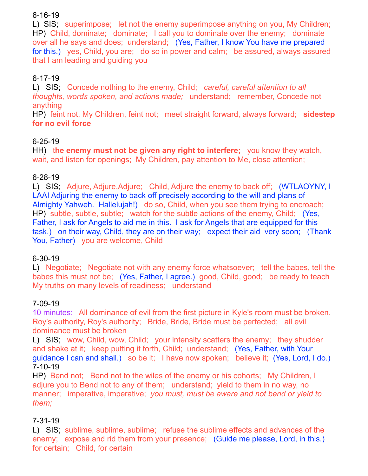## 6-16-19

L) SIS; superimpose; let not the enemy superimpose anything on you, My Children; HP) Child, dominate; dominate; I call you to dominate over the enemy; dominate over all he says and does; understand; (Yes, Father, I know You have me prepared for this.) yes, Child, you are; do so in power and calm; be assured, always assured that I am leading and guiding you

## 6-17-19

L) SIS; Concede nothing to the enemy, Child; *careful, careful attention to all thoughts, words spoken, and actions made;* understand; remember, Concede not anything

HP) feint not, My Children, feint not; meet straight forward, always forward; **sidestep for no evil force**

## 6-25-19

HH) t**he enemy must not be given any right to interfere;** you know they watch, wait, and listen for openings; My Children, pay attention to Me, close attention;

## 6-28-19

L) SIS; Adjure, Adjure, Adjure; Child, Adjure the enemy to back off; (WTLAOYNY, I) LAAI Adjuring the enemy to back off precisely according to the will and plans of Almighty Yahweh. Hallelujah!) do so, Child, when you see them trying to encroach; HP) subtle, subtle, subtle; watch for the subtle actions of the enemy, Child; (Yes, Father, I ask for Angels to aid me in this. I ask for Angels that are equipped for this task.) on their way, Child, they are on their way; expect their aid very soon; (Thank You, Father) you are welcome, Child

## 6-30-19

L) Negotiate; Negotiate not with any enemy force whatsoever; tell the babes, tell the babes this must not be; (Yes, Father, I agree.) good, Child, good; be ready to teach My truths on many levels of readiness; understand

## 7-09-19

10 minutes: All dominance of evil from the first picture in Kyle's room must be broken. Roy's authority, Roy's authority; Bride, Bride, Bride must be perfected; all evil dominance must be broken

L) SIS; wow, Child, wow, Child; your intensity scatters the enemy; they shudder and shake at it; keep putting it forth, Child; understand; (Yes, Father, with Your guidance I can and shall.) so be it; I have now spoken; believe it; (Yes, Lord, I do.) 7-10-19

HP) Bend not; Bend not to the wiles of the enemy or his cohorts; My Children, I adjure you to Bend not to any of them; understand; yield to them in no way, no manner; imperative, imperative; *you must, must be aware and not bend or yield to them;*

## 7-31-19

L) SIS; sublime, sublime, sublime; refuse the sublime effects and advances of the enemy; expose and rid them from your presence; (Guide me please, Lord, in this.) for certain; Child, for certain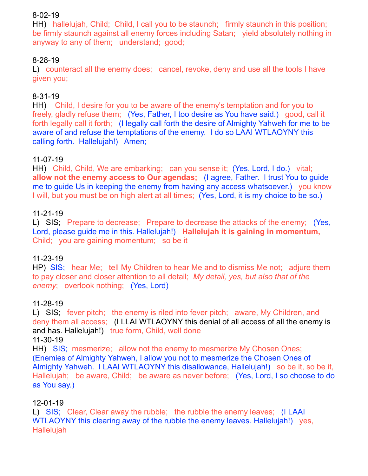### 8-02-19

HH) hallelujah, Child; Child, I call you to be staunch; firmly staunch in this position; be firmly staunch against all enemy forces including Satan; yield absolutely nothing in anyway to any of them; understand; good;

## 8-28-19

L) counteract all the enemy does; cancel, revoke, deny and use all the tools I have given you;

## 8-31-19

HH) Child, I desire for you to be aware of the enemy's temptation and for you to freely, gladly refuse them; (Yes, Father, I too desire as You have said.) good, call it forth legally call it forth; (I legally call forth the desire of Almighty Yahweh for me to be aware of and refuse the temptations of the enemy. I do so LAAI WTLAOYNY this calling forth. Hallelujah!) Amen;

#### 11-07-19

HH) Child, Child, We are embarking; can you sense it; (Yes, Lord, I do.) vital; **allow not the enemy access to Our agendas;** (I agree, Father. I trust You to guide me to guide Us in keeping the enemy from having any access whatsoever.) you know I will, but you must be on high alert at all times; (Yes, Lord, it is my choice to be so.)

#### 11-21-19

L) SIS; Prepare to decrease; Prepare to decrease the attacks of the enemy; (Yes, Lord, please guide me in this. Hallelujah!) **Hallelujah it is gaining in momentum,** Child; you are gaining momentum; so be it

#### 11-23-19

HP) SIS; hear Me; tell My Children to hear Me and to dismiss Me not; adjure them to pay closer and closer attention to all detail; *My detail, yes, but also that of the enemy*; overlook nothing; (Yes, Lord)

#### 11-28-19

L) SIS; fever pitch; the enemy is riled into fever pitch; aware, My Children, and deny them all access; (I LLAI WTLAOYNY this denial of all access of all the enemy is and has. Hallelujah!) true form, Child, well done

#### 11-30-19

HH) SIS; mesmerize; allow not the enemy to mesmerize My Chosen Ones; (Enemies of Almighty Yahweh, I allow you not to mesmerize the Chosen Ones of Almighty Yahweh. I LAAI WTLAOYNY this disallowance, Hallelujah!) so be it, so be it, Hallelujah; be aware, Child; be aware as never before; (Yes, Lord, I so choose to do as You say.)

#### 12-01-19

L) SIS; Clear, Clear away the rubble; the rubble the enemy leaves; (I LAAI WTLAOYNY this clearing away of the rubble the enemy leaves. Hallelujah!) yes, Hallelujah